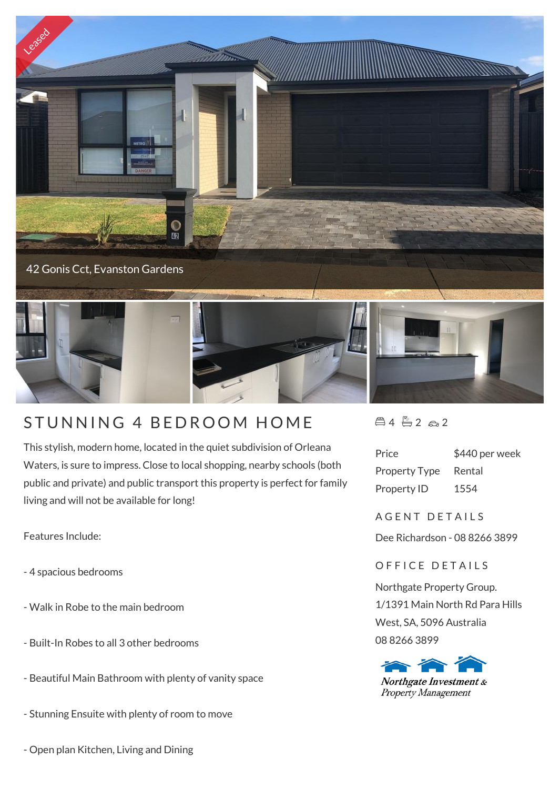

## STUNNING 4 BEDROOM HOME

This stylish, modern home, located in the quiet subdivision of Orleana Waters, is sure to impress. Close to local shopping, nearby schools (both public and private) and public transport this property is perfect for family living and will not be available for long!

Features Include:

- 4 spacious bedrooms
- Walk in Robe to the main bedroom
- Built-In Robes to all 3 other bedrooms
- Beautiful Main Bathroom with plenty of vanity space
- Stunning Ensuite with plenty of room to move
- Open plan Kitchen, Living and Dining

 $452.2$ 

| Price                | \$440 per week |
|----------------------|----------------|
| <b>Property Type</b> | Rental         |
| <b>Property ID</b>   | 1554           |

A G F N T D F T A I L S

Dee Richardson - 08 8266 3899

## OFFICE DETAILS

Northgate Property Group. 1/1391 Main North Rd Para Hills West, SA, 5096 Australia 08 8266 3899